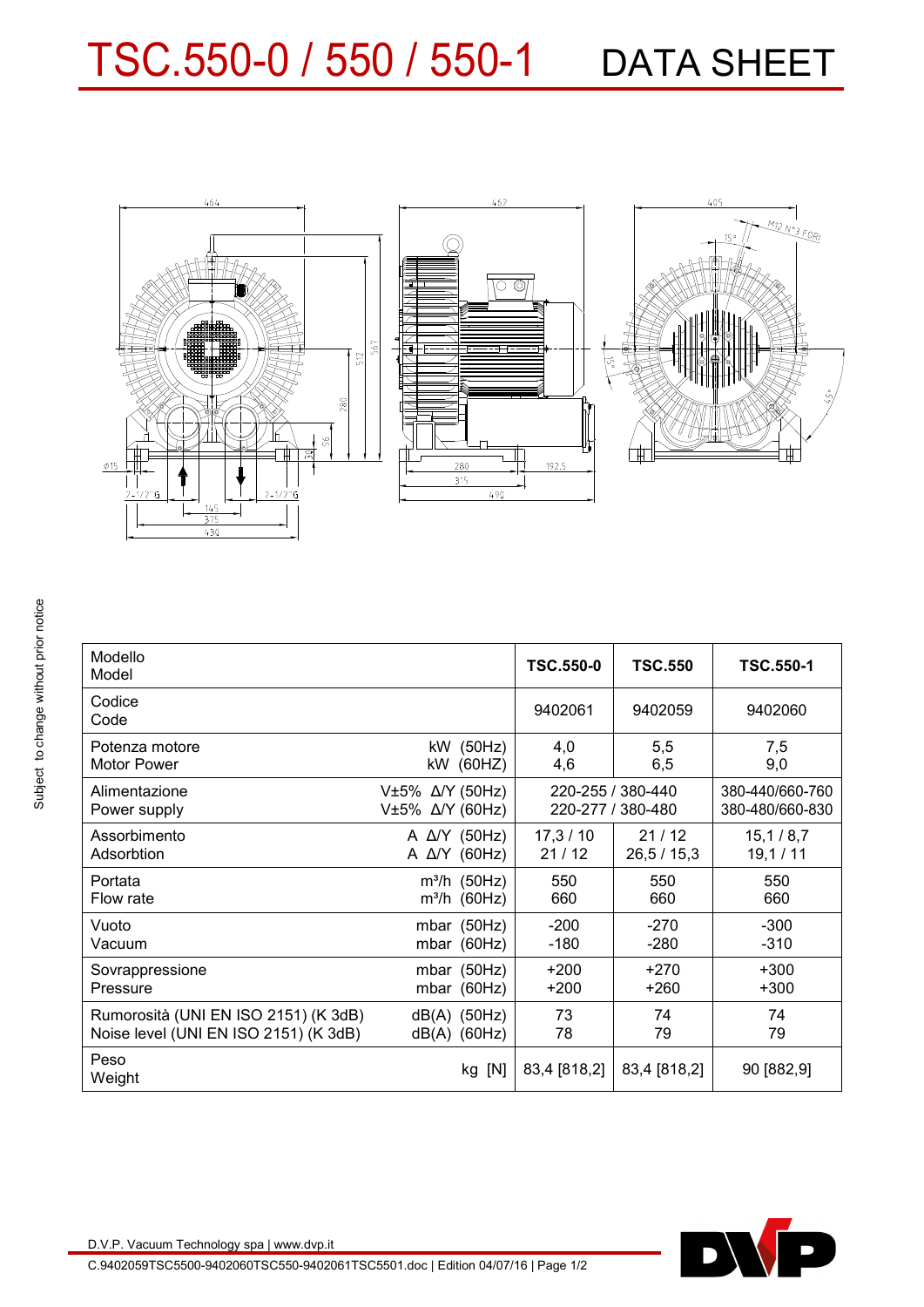## TSC.550-0 / 550 / 550-1 DATA SHEET



| Modello<br>Model                      |                                    |                      | <b>TSC.550-0</b>                       | <b>TSC.550</b> | <b>TSC.550-1</b>                   |
|---------------------------------------|------------------------------------|----------------------|----------------------------------------|----------------|------------------------------------|
| Codice<br>Code                        |                                    |                      | 9402061                                | 9402059        | 9402060                            |
| Potenza motore                        |                                    | kW (50Hz)            | 4,0                                    | 5,5            | 7,5                                |
| <b>Motor Power</b>                    |                                    | kW (60HZ)            | 4,6                                    | 6,5            | 9,0                                |
| Alimentazione<br>Power supply         | V±5% Δ/Υ (50Hz)<br>V±5% Δ/Υ (60Hz) |                      | 220-255 / 380-440<br>220-277 / 380-480 |                | 380-440/660-760<br>380-480/660-830 |
| Assorbimento                          |                                    | A $\Delta$ /Y (50Hz) | 17,3/10                                | 21/12          | 15,1/8,7                           |
| Adsorbtion                            |                                    | A $\Delta$ /Y (60Hz) | 21/12                                  | 26, 5 / 15, 3  | 19,1/11                            |
| Portata                               |                                    | $m^3/h$ (50Hz)       | 550                                    | 550            | 550                                |
| Flow rate                             |                                    | $m^3/h$ (60Hz)       | 660                                    | 660            | 660                                |
| Vuoto                                 |                                    | mbar $(50Hz)$        | $-200$                                 | $-270$         | $-300$                             |
| Vacuum                                |                                    | mbar $(60Hz)$        | $-180$                                 | $-280$         | $-310$                             |
| Sovrappressione                       |                                    | mbar $(50Hz)$        | $+200$                                 | $+270$         | $+300$                             |
| Pressure                              |                                    | mbar $(60Hz)$        | $+200$                                 | $+260$         | $+300$                             |
| Rumorosità (UNI EN ISO 2151) (K 3dB)  |                                    | $dB(A)$ (50Hz)       | 73                                     | 74             | 74                                 |
| Noise level (UNI EN ISO 2151) (K 3dB) |                                    | $dB(A)$ (60Hz)       | 78                                     | 79             | 79                                 |
| Peso<br>Weight                        |                                    | kg [N]               | 83,4 [818,2]                           | 83,4 [818,2]   | 90 [882,9]                         |
|                                       |                                    |                      |                                        |                |                                    |



D.V.P. Vacuum Technology spa | www.dvp.it